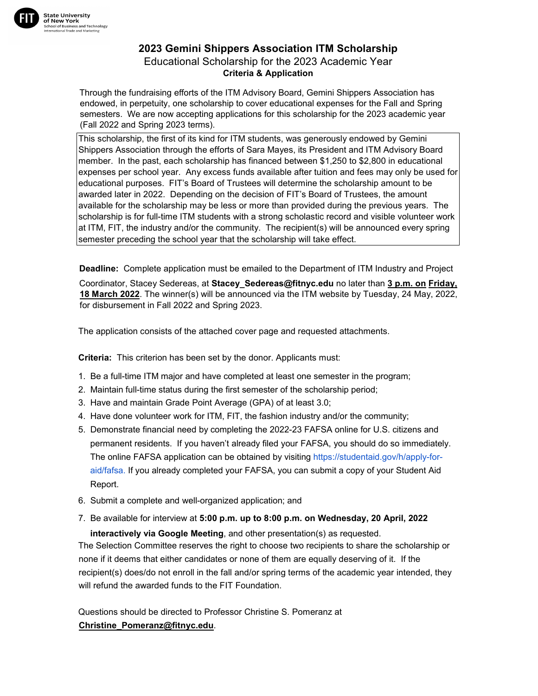

## **2023 Gemini Shippers Association ITM Scholarship**  Educational Scholarship for the 2023 Academic Year **Criteria & Application**

Through the fundraising efforts of the ITM Advisory Board, Gemini Shippers Association has endowed, in perpetuity, one scholarship to cover educational expenses for the Fall and Spring semesters. We are now accepting applications for this scholarship for the 2023 academic year (Fall 2022 and Spring 2023 terms).

This scholarship, the first of its kind for ITM students, was generously endowed by Gemini Shippers Association through the efforts of Sara Mayes, its President and ITM Advisory Board member. In the past, each scholarship has financed between \$1,250 to \$2,800 in educational expenses per school year. Any excess funds available after tuition and fees may only be used for educational purposes. FIT's Board of Trustees will determine the scholarship amount to be awarded later in 2022. Depending on the decision of FIT's Board of Trustees, the amount available for the scholarship may be less or more than provided during the previous years. The scholarship is for full-time ITM students with a strong scholastic record and visible volunteer work at ITM, FIT, the industry and/or the community. The recipient(s) will be announced every spring semester preceding the school year that the scholarship will take effect.

**Deadline:** Complete application must be emailed to the Department of ITM Industry and Project

Coordinator, Stacey Sedereas, at **Stacey\_Sedereas@fitnyc.edu** no later than **3 p.m. on Friday, 18 March 2022**. The winner(s) will be announced via the ITM website by Tuesday, 24 May, 2022, for disbursement in Fall 2022 and Spring 2023.

The application consists of the attached cover page and requested attachments.

**Criteria:** This criterion has been set by the donor. Applicants must:

- 1. Be a full-time ITM major and have completed at least one semester in the program;
- 2. Maintain full-time status during the first semester of the scholarship period;
- 3. Have and maintain Grade Point Average (GPA) of at least 3.0;
- 4. Have done volunteer work for ITM, FIT, the fashion industry and/or the community;
- 5. Demonstrate financial need by completing the 2022-23 FAFSA online for U.S. citizens and permanent residents. If you haven't already filed your FAFSA, you should do so immediately. The online FAFSA application can be obtained by visiting https://studentaid.gov/h/apply-foraid/fafsa. [If you already completed your FAFSA, you can s](https://studentaid.gov/sites/default/files/2021-22-fafsa.pdf)ubmit a copy of your Student Aid Report.
- 6. Submit a complete and well-organized application; and
- 7. Be available for interview at **5:00 p.m. up to 8:00 p.m. on Wednesday, 20 April, 2022**

**interactively via Google Meeting**, and other presentation(s) as requested.

The Selection Committee reserves the right to choose two recipients to share the scholarship or none if it deems that either candidates or none of them are equally deserving of it. If the recipient(s) does/do not enroll in the fall and/or spring terms of the academic year intended, they will refund the awarded funds to the FIT Foundation.

Questions should be directed to Professor Christine S. Pomeranz at **Christine\_Pomeranz@fitnyc.edu**.